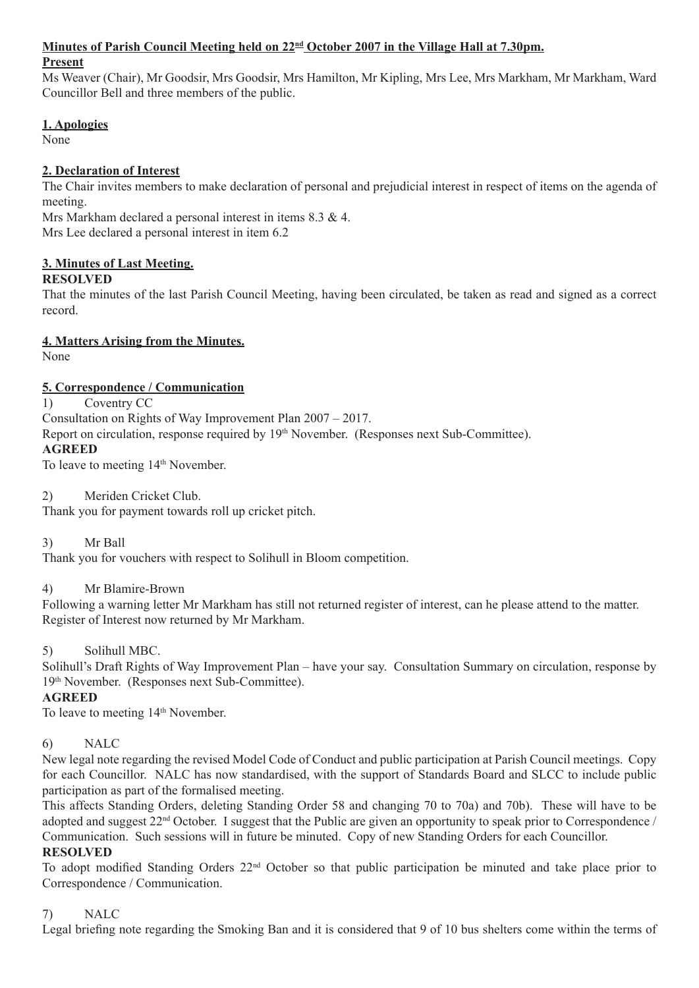#### Minutes of Parish Council Meeting held on  $22^{\text{nd}}$  October 2007 in the Village Hall at 7.30pm.

#### **Present**

Ms Weaver (Chair), Mr Goodsir, Mrs Goodsir, Mrs Hamilton, Mr Kipling, Mrs Lee, Mrs Markham, Mr Markham, Ward Councillor Bell and three members of the public.

## **1. Apologies**

None

## **2. Declaration of Interest**

The Chair invites members to make declaration of personal and prejudicial interest in respect of items on the agenda of meeting.

Mrs Markham declared a personal interest in items 8.3 & 4. Mrs Lee declared a personal interest in item 6.2

## **3. Minutes of Last Meeting.**

## **RESOLVED**

That the minutes of the last Parish Council Meeting, having been circulated, be taken as read and signed as a correct record.

## **4. Matters Arising from the Minutes.**

None

## **5. Correspondence / Communication**

1) Coventry CC

Consultation on Rights of Way Improvement Plan 2007 – 2017.

Report on circulation, response required by 19th November. (Responses next Sub-Committee).

#### **AGREED**

To leave to meeting 14<sup>th</sup> November.

## 2) Meriden Cricket Club.

Thank you for payment towards roll up cricket pitch.

3) Mr Ball

Thank you for vouchers with respect to Solihull in Bloom competition.

4) Mr Blamire-Brown

Following a warning letter Mr Markham has still not returned register of interest, can he please attend to the matter. Register of Interest now returned by Mr Markham.

## 5) Solihull MBC.

Solihull's Draft Rights of Way Improvement Plan – have your say. Consultation Summary on circulation, response by 19th November. (Responses next Sub-Committee).

## **AGREED**

To leave to meeting 14<sup>th</sup> November.

## 6) NALC

New legal note regarding the revised Model Code of Conduct and public participation at Parish Council meetings. Copy for each Councillor. NALC has now standardised, with the support of Standards Board and SLCC to include public participation as part of the formalised meeting.

This affects Standing Orders, deleting Standing Order 58 and changing 70 to 70a) and 70b). These will have to be adopted and suggest 22<sup>nd</sup> October. I suggest that the Public are given an opportunity to speak prior to Correspondence / Communication. Such sessions will in future be minuted. Copy of new Standing Orders for each Councillor.

#### **RESOLVED**

To adopt modified Standing Orders 22nd October so that public participation be minuted and take place prior to Correspondence / Communication.

## 7) NALC

Legal briefing note regarding the Smoking Ban and it is considered that 9 of 10 bus shelters come within the terms of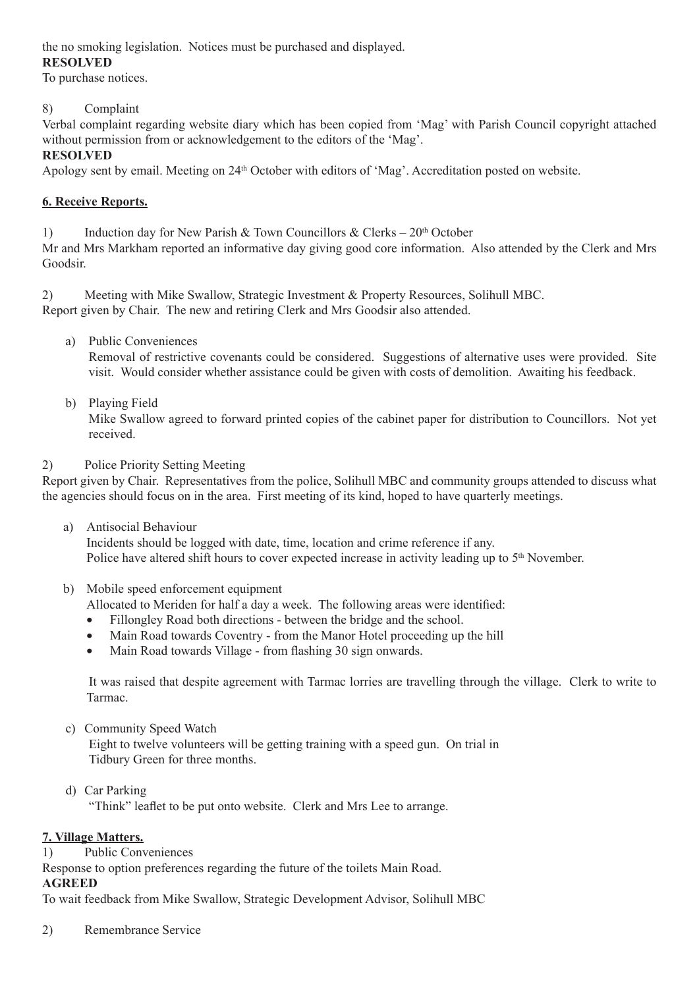the no smoking legislation. Notices must be purchased and displayed. **RESOLVED**

To purchase notices.

## 8) Complaint

Verbal complaint regarding website diary which has been copied from 'Mag' with Parish Council copyright attached without permission from or acknowledgement to the editors of the 'Mag'.

## **RESOLVED**

Apology sent by email. Meeting on 24<sup>th</sup> October with editors of 'Mag'. Accreditation posted on website.

## **6. Receive Reports.**

1) Induction day for New Parish & Town Councillors & Clerks –  $20<sup>th</sup>$  October

Mr and Mrs Markham reported an informative day giving good core information. Also attended by the Clerk and Mrs Goodsir.

2) Meeting with Mike Swallow, Strategic Investment & Property Resources, Solihull MBC. Report given by Chair. The new and retiring Clerk and Mrs Goodsir also attended.

a) Public Conveniences

Removal of restrictive covenants could be considered. Suggestions of alternative uses were provided. Site visit. Would consider whether assistance could be given with costs of demolition. Awaiting his feedback.

b) Playing Field

Mike Swallow agreed to forward printed copies of the cabinet paper for distribution to Councillors. Not yet received.

2) Police Priority Setting Meeting

Report given by Chair. Representatives from the police, Solihull MBC and community groups attended to discuss what the agencies should focus on in the area. First meeting of its kind, hoped to have quarterly meetings.

- a) Antisocial Behaviour Incidents should be logged with date, time, location and crime reference if any. Police have altered shift hours to cover expected increase in activity leading up to 5<sup>th</sup> November.
- b) Mobile speed enforcement equipment

Allocated to Meriden for half a day a week. The following areas were identified:

- Fillongley Road both directions between the bridge and the school.
- Main Road towards Coventry from the Manor Hotel proceeding up the hill
- Main Road towards Village from flashing 30 sign onwards.

It was raised that despite agreement with Tarmac lorries are travelling through the village. Clerk to write to Tarmac.

- c) Community Speed Watch Eight to twelve volunteers will be getting training with a speed gun. On trial in Tidbury Green for three months.
- d) Car Parking

"Think" leaflet to be put onto website. Clerk and Mrs Lee to arrange.

## **7. Village Matters.**

1) Public Conveniences

Response to option preferences regarding the future of the toilets Main Road.

# **AGREED**

To wait feedback from Mike Swallow, Strategic Development Advisor, Solihull MBC

2) Remembrance Service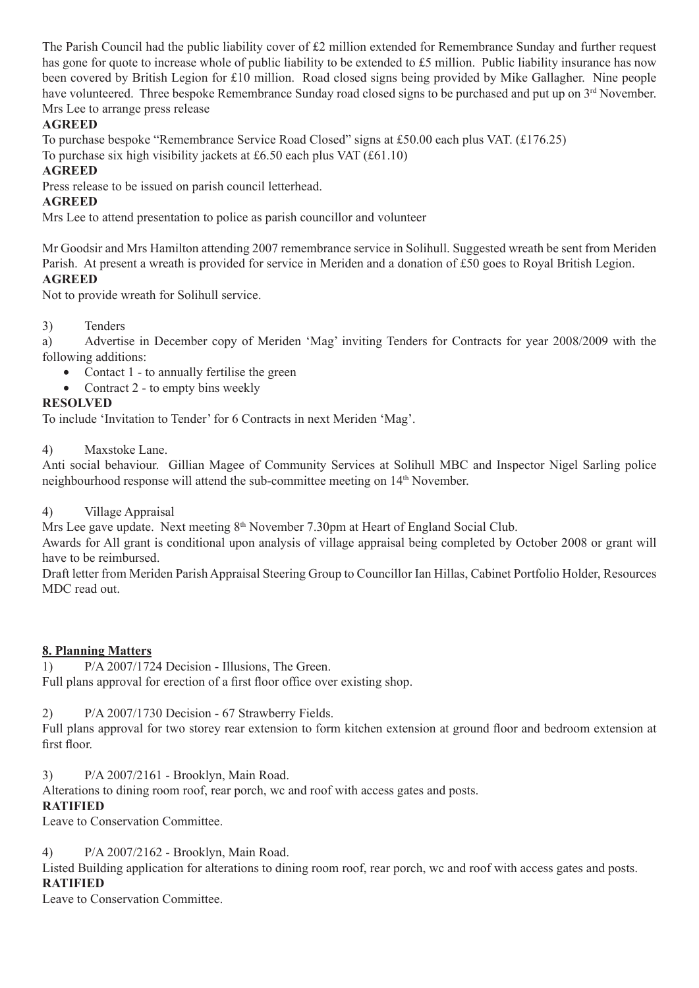The Parish Council had the public liability cover of £2 million extended for Remembrance Sunday and further request has gone for quote to increase whole of public liability to be extended to £5 million. Public liability insurance has now been covered by British Legion for £10 million. Road closed signs being provided by Mike Gallagher. Nine people have volunteered. Three bespoke Remembrance Sunday road closed signs to be purchased and put up on 3<sup>rd</sup> November. Mrs Lee to arrange press release

# **AGREED**

To purchase bespoke "Remembrance Service Road Closed" signs at £50.00 each plus VAT. (£176.25) To purchase six high visibility jackets at £6.50 each plus VAT (£61.10)

## **AGREED**

Press release to be issued on parish council letterhead.

## **AGREED**

Mrs Lee to attend presentation to police as parish councillor and volunteer

Mr Goodsir and Mrs Hamilton attending 2007 remembrance service in Solihull. Suggested wreath be sent from Meriden Parish. At present a wreath is provided for service in Meriden and a donation of £50 goes to Royal British Legion. **AGREED**

Not to provide wreath for Solihull service.

3) Tenders

a) Advertise in December copy of Meriden 'Mag' inviting Tenders for Contracts for year 2008/2009 with the following additions:

- Contact 1 to annually fertilise the green
- Contract 2 to empty bins weekly

## **RESOLVED**

To include 'Invitation to Tender' for 6 Contracts in next Meriden 'Mag'.

4) Maxstoke Lane.

Anti social behaviour. Gillian Magee of Community Services at Solihull MBC and Inspector Nigel Sarling police neighbourhood response will attend the sub-committee meeting on 14th November.

4) Village Appraisal

Mrs Lee gave update. Next meeting  $8<sup>th</sup>$  November 7.30pm at Heart of England Social Club.

Awards for All grant is conditional upon analysis of village appraisal being completed by October 2008 or grant will have to be reimbursed.

Draft letter from Meriden Parish Appraisal Steering Group to Councillor Ian Hillas, Cabinet Portfolio Holder, Resources MDC read out.

**8. Planning Matters**

1) P/A 2007/1724 Decision - Illusions, The Green. Full plans approval for erection of a first floor office over existing shop.

## 2) P/A 2007/1730 Decision - 67 Strawberry Fields.

Full plans approval for two storey rear extension to form kitchen extension at ground floor and bedroom extension at first floor.

3) P/A 2007/2161 - Brooklyn, Main Road.

Alterations to dining room roof, rear porch, wc and roof with access gates and posts.

## **RATIFIED**

Leave to Conservation Committee.

4) P/A 2007/2162 - Brooklyn, Main Road.

Listed Building application for alterations to dining room roof, rear porch, wc and roof with access gates and posts. **RATIFIED**

Leave to Conservation Committee.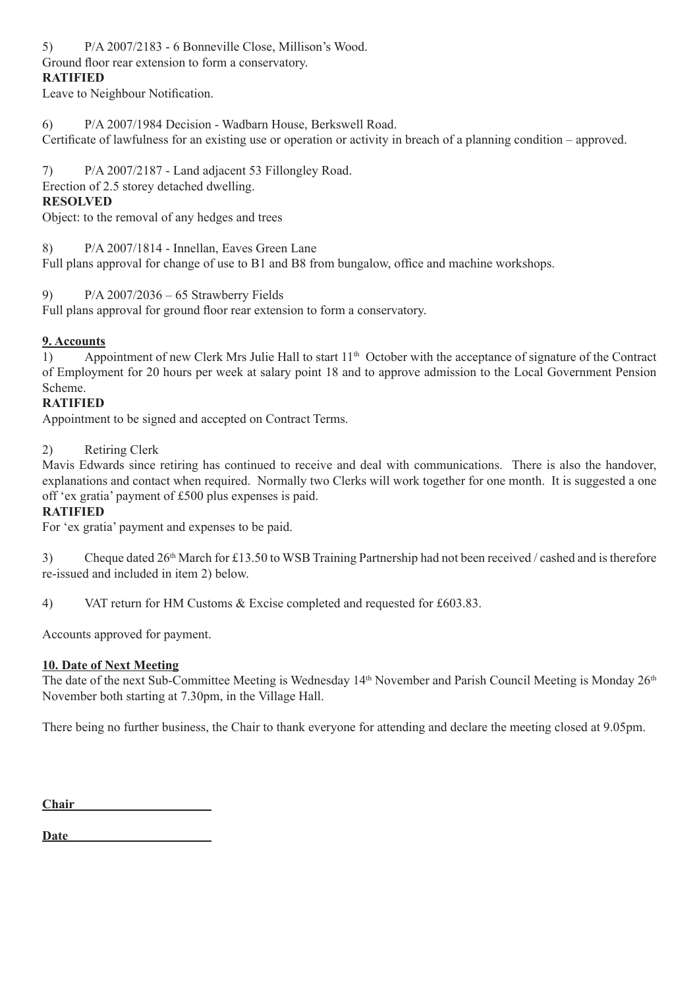5) P/A 2007/2183 - 6 Bonneville Close, Millison's Wood.

Ground floor rear extension to form a conservatory.

# **RATIFIED**

Leave to Neighbour Notification.

6) P/A 2007/1984 Decision - Wadbarn House, Berkswell Road. Certificate of lawfulness for an existing use or operation or activity in breach of a planning condition – approved.

7) P/A 2007/2187 - Land adjacent 53 Fillongley Road.

Erection of 2.5 storey detached dwelling.

# **RESOLVED**

Object: to the removal of any hedges and trees

8) P/A 2007/1814 - Innellan, Eaves Green Lane

Full plans approval for change of use to B1 and B8 from bungalow, office and machine workshops.

9) P/A 2007/2036 – 65 Strawberry Fields

Full plans approval for ground floor rear extension to form a conservatory.

# **9. Accounts**

1) Appointment of new Clerk Mrs Julie Hall to start 11<sup>th</sup> October with the acceptance of signature of the Contract of Employment for 20 hours per week at salary point 18 and to approve admission to the Local Government Pension Scheme.

# **RATIFIED**

Appointment to be signed and accepted on Contract Terms.

2) Retiring Clerk

Mavis Edwards since retiring has continued to receive and deal with communications. There is also the handover, explanations and contact when required. Normally two Clerks will work together for one month. It is suggested a one off 'ex gratia' payment of £500 plus expenses is paid.

## **RATIFIED**

For 'ex gratia' payment and expenses to be paid.

3) Cheque dated  $26<sup>th</sup>$  March for £13.50 to WSB Training Partnership had not been received / cashed and is therefore re-issued and included in item 2) below.

4) VAT return for HM Customs & Excise completed and requested for £603.83.

Accounts approved for payment.

## **10. Date of Next Meeting**

The date of the next Sub-Committee Meeting is Wednesday 14<sup>th</sup> November and Parish Council Meeting is Monday 26<sup>th</sup> November both starting at 7.30pm, in the Village Hall.

There being no further business, the Chair to thank everyone for attending and declare the meeting closed at 9.05pm.

**Chair**  

**Date**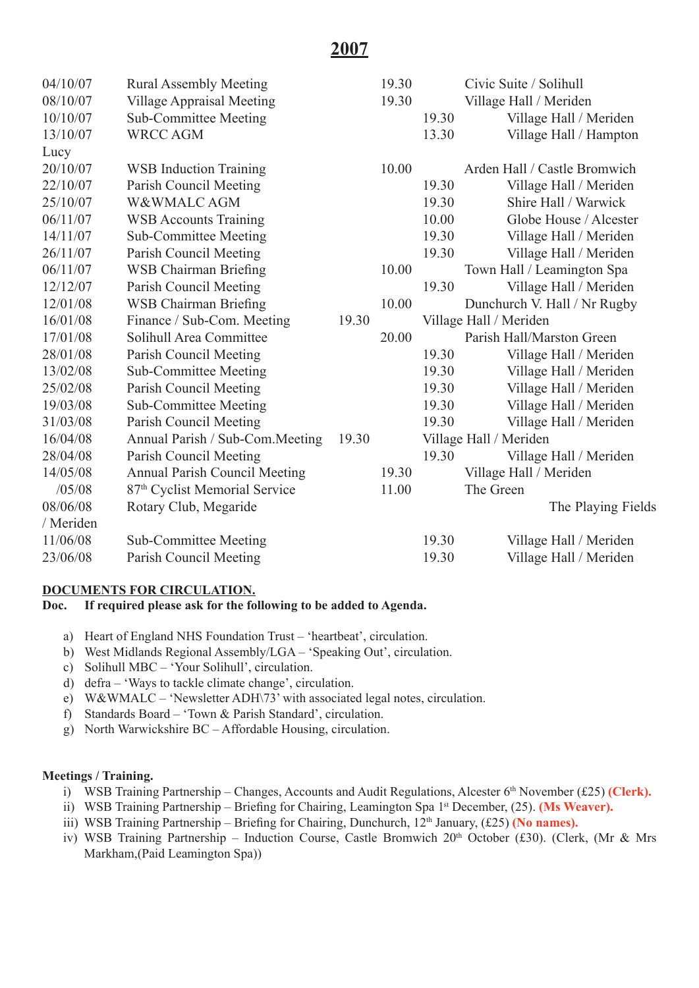| <b>Village Appraisal Meeting</b><br>08/10/07<br>19.30<br>Village Hall / Meriden<br>10/10/07<br><b>Sub-Committee Meeting</b><br>Village Hall / Meriden<br>19.30<br><b>WRCC AGM</b><br>Village Hall / Hampton<br>13/10/07<br>13.30<br>Lucy |  |
|------------------------------------------------------------------------------------------------------------------------------------------------------------------------------------------------------------------------------------------|--|
|                                                                                                                                                                                                                                          |  |
|                                                                                                                                                                                                                                          |  |
|                                                                                                                                                                                                                                          |  |
|                                                                                                                                                                                                                                          |  |
| 20/10/07<br><b>WSB</b> Induction Training<br>10.00<br>Arden Hall / Castle Bromwich                                                                                                                                                       |  |
| Parish Council Meeting<br>19.30<br>Village Hall / Meriden<br>22/10/07                                                                                                                                                                    |  |
| 25/10/07<br>W&WMALC AGM<br>19.30<br>Shire Hall / Warwick                                                                                                                                                                                 |  |
| 06/11/07<br><b>WSB Accounts Training</b><br>10.00<br>Globe House / Alcester                                                                                                                                                              |  |
| <b>Sub-Committee Meeting</b><br>19.30<br>14/11/07<br>Village Hall / Meriden                                                                                                                                                              |  |
| Parish Council Meeting<br>19.30<br>Village Hall / Meriden<br>26/11/07                                                                                                                                                                    |  |
| <b>WSB Chairman Briefing</b><br>Town Hall / Leamington Spa<br>06/11/07<br>10.00                                                                                                                                                          |  |
| Parish Council Meeting<br>Village Hall / Meriden<br>12/12/07<br>19.30                                                                                                                                                                    |  |
| <b>WSB Chairman Briefing</b><br>12/01/08<br>10.00<br>Dunchurch V. Hall / Nr Rugby                                                                                                                                                        |  |
| Finance / Sub-Com. Meeting<br>16/01/08<br>Village Hall / Meriden<br>19.30                                                                                                                                                                |  |
| 17/01/08<br>Solihull Area Committee<br>20.00<br>Parish Hall/Marston Green                                                                                                                                                                |  |
| Parish Council Meeting<br>28/01/08<br>19.30<br>Village Hall / Meriden                                                                                                                                                                    |  |
| <b>Sub-Committee Meeting</b><br>19.30<br>Village Hall / Meriden<br>13/02/08                                                                                                                                                              |  |
| Parish Council Meeting<br>25/02/08<br>19.30<br>Village Hall / Meriden                                                                                                                                                                    |  |
| Village Hall / Meriden<br>19/03/08<br><b>Sub-Committee Meeting</b><br>19.30                                                                                                                                                              |  |
| Parish Council Meeting<br>31/03/08<br>19.30<br>Village Hall / Meriden                                                                                                                                                                    |  |
| 16/04/08<br>Annual Parish / Sub-Com. Meeting<br>Village Hall / Meriden<br>19.30                                                                                                                                                          |  |
| 19.30<br>Parish Council Meeting<br>Village Hall / Meriden<br>28/04/08                                                                                                                                                                    |  |
| <b>Annual Parish Council Meeting</b><br>14/05/08<br>Village Hall / Meriden<br>19.30                                                                                                                                                      |  |
| /05/08<br>87 <sup>th</sup> Cyclist Memorial Service<br>11.00<br>The Green                                                                                                                                                                |  |
| 08/06/08<br>Rotary Club, Megaride<br>The Playing Fields                                                                                                                                                                                  |  |
| / Meriden                                                                                                                                                                                                                                |  |
| 11/06/08<br><b>Sub-Committee Meeting</b><br>19.30<br>Village Hall / Meriden                                                                                                                                                              |  |
| Parish Council Meeting<br>19.30<br>Village Hall / Meriden<br>23/06/08                                                                                                                                                                    |  |

## **DOCUMENTS FOR CIRCULATION.**

#### **Doc. If required please ask for the following to be added to Agenda.**

- a) Heart of England NHS Foundation Trust 'heartbeat', circulation.
- b) West Midlands Regional Assembly/LGA 'Speaking Out', circulation.
- c) Solihull MBC 'Your Solihull', circulation.
- d) defra 'Ways to tackle climate change', circulation.
- e) W&WMALC 'Newsletter ADH\73' with associated legal notes, circulation.
- f) Standards Board 'Town & Parish Standard', circulation.
- g) North Warwickshire BC Affordable Housing, circulation.

#### **Meetings / Training.**

- i) WSB Training Partnership Changes, Accounts and Audit Regulations, Alcester 6<sup>th</sup> November (£25) (Clerk).
- ii) WSB Training Partnership Briefing for Chairing, Leamington Spa 1<sup>st</sup> December, (25). **(Ms Weaver).**
- iii) WSB Training Partnership Briefing for Chairing, Dunchurch, 12<sup>th</sup> January, (£25) **(No names).**
- iv) WSB Training Partnership Induction Course, Castle Bromwich 20<sup>th</sup> October (£30). (Clerk, (Mr & Mrs Markham,(Paid Leamington Spa))